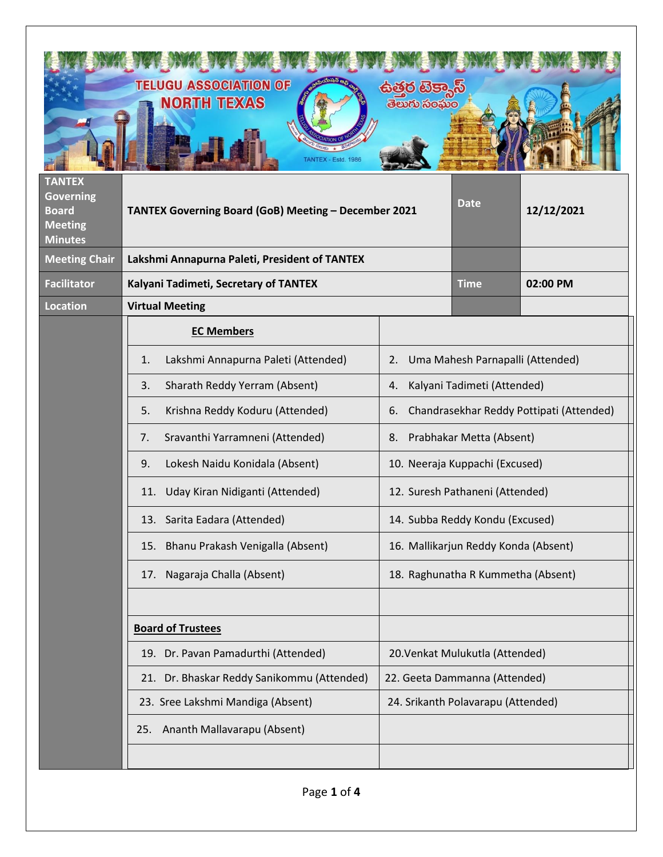|                                                                                       | <b>TELUGU ASSOCIATION OF</b><br><b>NORTH TEXAS</b><br>Estd. 1986 | සමර ගිපැ<br><b>తెలుగు సంఘం</b>         |                                      |                                          |  |
|---------------------------------------------------------------------------------------|------------------------------------------------------------------|----------------------------------------|--------------------------------------|------------------------------------------|--|
| <b>TANTEX</b><br><b>Governing</b><br><b>Board</b><br><b>Meeting</b><br><b>Minutes</b> | TANTEX Governing Board (GoB) Meeting - December 2021             |                                        | Date                                 | 12/12/2021                               |  |
| <b>Meeting Chair</b>                                                                  | Lakshmi Annapurna Paleti, President of TANTEX                    |                                        |                                      |                                          |  |
| <b>Facilitator</b>                                                                    | Kalyani Tadimeti, Secretary of TANTEX                            |                                        | <b>Time</b>                          | 02:00 PM                                 |  |
| Location                                                                              | <b>Virtual Meeting</b>                                           |                                        |                                      |                                          |  |
|                                                                                       | <b>EC Members</b>                                                |                                        |                                      |                                          |  |
|                                                                                       | Lakshmi Annapurna Paleti (Attended)<br>1.                        | 2.<br>Uma Mahesh Parnapalli (Attended) |                                      |                                          |  |
|                                                                                       | Sharath Reddy Yerram (Absent)<br>3.<br>4.                        |                                        | Kalyani Tadimeti (Attended)          |                                          |  |
|                                                                                       | Krishna Reddy Koduru (Attended)<br>5.                            | 6.                                     |                                      | Chandrasekhar Reddy Pottipati (Attended) |  |
|                                                                                       | Sravanthi Yarramneni (Attended)<br>8.<br>7.                      |                                        | Prabhakar Metta (Absent)             |                                          |  |
|                                                                                       | Lokesh Naidu Konidala (Absent)<br>9.                             |                                        | 10. Neeraja Kuppachi (Excused)       |                                          |  |
|                                                                                       | Uday Kiran Nidiganti (Attended)<br>11.                           | 12. Suresh Pathaneni (Attended)        |                                      |                                          |  |
|                                                                                       | 13. Sarita Eadara (Attended)                                     | 14. Subba Reddy Kondu (Excused)        |                                      |                                          |  |
|                                                                                       | 15. Bhanu Prakash Venigalla (Absent)                             |                                        | 16. Mallikarjun Reddy Konda (Absent) |                                          |  |
|                                                                                       | Nagaraja Challa (Absent)<br>17.                                  |                                        | 18. Raghunatha R Kummetha (Absent)   |                                          |  |
|                                                                                       |                                                                  |                                        |                                      |                                          |  |
|                                                                                       | <b>Board of Trustees</b>                                         |                                        |                                      |                                          |  |
|                                                                                       | 19. Dr. Pavan Pamadurthi (Attended)                              |                                        | 20. Venkat Mulukutla (Attended)      |                                          |  |
|                                                                                       | 21. Dr. Bhaskar Reddy Sanikommu (Attended)                       | 22. Geeta Dammanna (Attended)          |                                      |                                          |  |
|                                                                                       | 23. Sree Lakshmi Mandiga (Absent)                                |                                        | 24. Srikanth Polavarapu (Attended)   |                                          |  |
|                                                                                       | Ananth Mallavarapu (Absent)<br>25.                               |                                        |                                      |                                          |  |
|                                                                                       |                                                                  |                                        |                                      |                                          |  |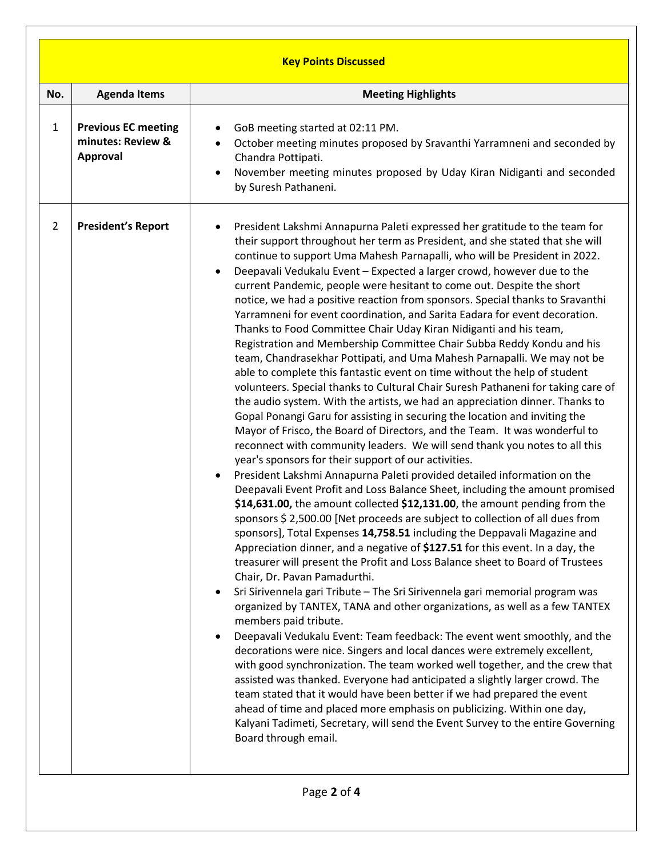|                            | <b>Key Points Discussed</b>                                 |                                                                                                                                                                                                                                                                                                                                                                                                                                                                                                                                                                                                                                                                                                                                                                                                                                                                                                                                                                                                                                                                                                                                                                                                                                                                                                                                                                                                                                                                                                                                                                                                                                                                                                                                                                                                                                                                                                                                                                                                                                                                                                                                                                                                                                                                                                                                                                                                                                                                                                                                                                                                                                                                                                                                                                                  |  |  |
|----------------------------|-------------------------------------------------------------|----------------------------------------------------------------------------------------------------------------------------------------------------------------------------------------------------------------------------------------------------------------------------------------------------------------------------------------------------------------------------------------------------------------------------------------------------------------------------------------------------------------------------------------------------------------------------------------------------------------------------------------------------------------------------------------------------------------------------------------------------------------------------------------------------------------------------------------------------------------------------------------------------------------------------------------------------------------------------------------------------------------------------------------------------------------------------------------------------------------------------------------------------------------------------------------------------------------------------------------------------------------------------------------------------------------------------------------------------------------------------------------------------------------------------------------------------------------------------------------------------------------------------------------------------------------------------------------------------------------------------------------------------------------------------------------------------------------------------------------------------------------------------------------------------------------------------------------------------------------------------------------------------------------------------------------------------------------------------------------------------------------------------------------------------------------------------------------------------------------------------------------------------------------------------------------------------------------------------------------------------------------------------------------------------------------------------------------------------------------------------------------------------------------------------------------------------------------------------------------------------------------------------------------------------------------------------------------------------------------------------------------------------------------------------------------------------------------------------------------------------------------------------------|--|--|
| <b>Agenda Items</b><br>No. |                                                             | <b>Meeting Highlights</b>                                                                                                                                                                                                                                                                                                                                                                                                                                                                                                                                                                                                                                                                                                                                                                                                                                                                                                                                                                                                                                                                                                                                                                                                                                                                                                                                                                                                                                                                                                                                                                                                                                                                                                                                                                                                                                                                                                                                                                                                                                                                                                                                                                                                                                                                                                                                                                                                                                                                                                                                                                                                                                                                                                                                                        |  |  |
| $\mathbf{1}$               | <b>Previous EC meeting</b><br>minutes: Review &<br>Approval | GoB meeting started at 02:11 PM.<br>$\bullet$<br>October meeting minutes proposed by Sravanthi Yarramneni and seconded by<br>Chandra Pottipati.<br>November meeting minutes proposed by Uday Kiran Nidiganti and seconded<br>$\bullet$<br>by Suresh Pathaneni.                                                                                                                                                                                                                                                                                                                                                                                                                                                                                                                                                                                                                                                                                                                                                                                                                                                                                                                                                                                                                                                                                                                                                                                                                                                                                                                                                                                                                                                                                                                                                                                                                                                                                                                                                                                                                                                                                                                                                                                                                                                                                                                                                                                                                                                                                                                                                                                                                                                                                                                   |  |  |
| $\overline{2}$             | <b>President's Report</b>                                   | President Lakshmi Annapurna Paleti expressed her gratitude to the team for<br>$\bullet$<br>their support throughout her term as President, and she stated that she will<br>continue to support Uma Mahesh Parnapalli, who will be President in 2022.<br>Deepavali Vedukalu Event - Expected a larger crowd, however due to the<br>$\bullet$<br>current Pandemic, people were hesitant to come out. Despite the short<br>notice, we had a positive reaction from sponsors. Special thanks to Sravanthi<br>Yarramneni for event coordination, and Sarita Eadara for event decoration.<br>Thanks to Food Committee Chair Uday Kiran Nidiganti and his team,<br>Registration and Membership Committee Chair Subba Reddy Kondu and his<br>team, Chandrasekhar Pottipati, and Uma Mahesh Parnapalli. We may not be<br>able to complete this fantastic event on time without the help of student<br>volunteers. Special thanks to Cultural Chair Suresh Pathaneni for taking care of<br>the audio system. With the artists, we had an appreciation dinner. Thanks to<br>Gopal Ponangi Garu for assisting in securing the location and inviting the<br>Mayor of Frisco, the Board of Directors, and the Team. It was wonderful to<br>reconnect with community leaders. We will send thank you notes to all this<br>year's sponsors for their support of our activities.<br>President Lakshmi Annapurna Paleti provided detailed information on the<br>$\bullet$<br>Deepavali Event Profit and Loss Balance Sheet, including the amount promised<br>\$14,631.00, the amount collected \$12,131.00, the amount pending from the<br>sponsors \$ 2,500.00 [Net proceeds are subject to collection of all dues from<br>sponsors], Total Expenses 14,758.51 including the Deppavali Magazine and<br>Appreciation dinner, and a negative of \$127.51 for this event. In a day, the<br>treasurer will present the Profit and Loss Balance sheet to Board of Trustees<br>Chair, Dr. Pavan Pamadurthi.<br>Sri Sirivennela gari Tribute - The Sri Sirivennela gari memorial program was<br>$\bullet$<br>organized by TANTEX, TANA and other organizations, as well as a few TANTEX<br>members paid tribute.<br>Deepavali Vedukalu Event: Team feedback: The event went smoothly, and the<br>decorations were nice. Singers and local dances were extremely excellent,<br>with good synchronization. The team worked well together, and the crew that<br>assisted was thanked. Everyone had anticipated a slightly larger crowd. The<br>team stated that it would have been better if we had prepared the event<br>ahead of time and placed more emphasis on publicizing. Within one day,<br>Kalyani Tadimeti, Secretary, will send the Event Survey to the entire Governing<br>Board through email. |  |  |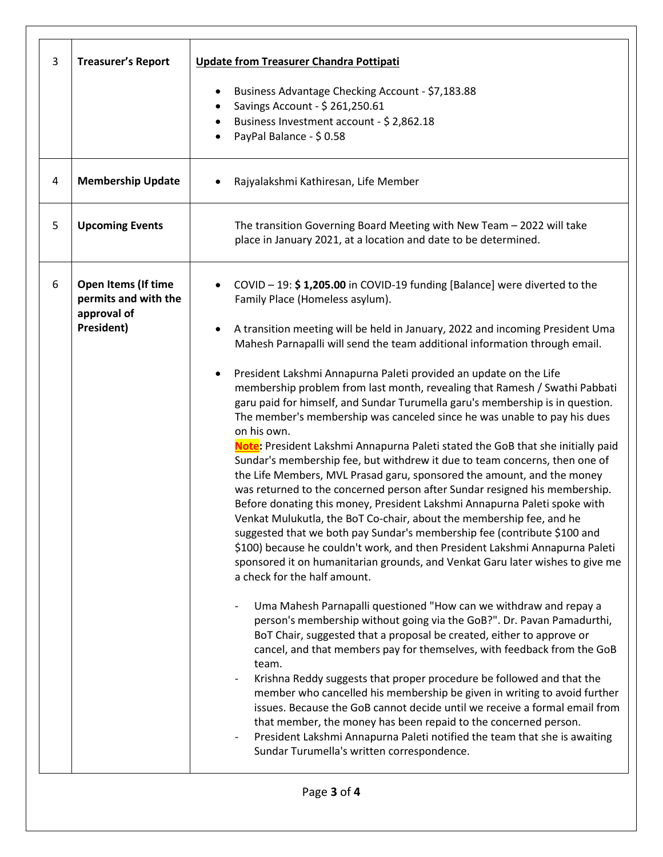| 3 | <b>Treasurer's Report</b>                                                | <b>Update from Treasurer Chandra Pottipati</b>                                                                                                                                                                                                                                                                                                                                                                                                                                                                                                                                                                                                                                                                                                                                                                                                                                                                                      |  |
|---|--------------------------------------------------------------------------|-------------------------------------------------------------------------------------------------------------------------------------------------------------------------------------------------------------------------------------------------------------------------------------------------------------------------------------------------------------------------------------------------------------------------------------------------------------------------------------------------------------------------------------------------------------------------------------------------------------------------------------------------------------------------------------------------------------------------------------------------------------------------------------------------------------------------------------------------------------------------------------------------------------------------------------|--|
|   |                                                                          | Business Advantage Checking Account - \$7,183.88<br>Savings Account - \$ 261,250.61<br>Business Investment account - \$ 2,862.18<br>PayPal Balance - \$0.58                                                                                                                                                                                                                                                                                                                                                                                                                                                                                                                                                                                                                                                                                                                                                                         |  |
| 4 | <b>Membership Update</b>                                                 | Rajyalakshmi Kathiresan, Life Member                                                                                                                                                                                                                                                                                                                                                                                                                                                                                                                                                                                                                                                                                                                                                                                                                                                                                                |  |
| 5 | <b>Upcoming Events</b>                                                   | The transition Governing Board Meeting with New Team - 2022 will take<br>place in January 2021, at a location and date to be determined.                                                                                                                                                                                                                                                                                                                                                                                                                                                                                                                                                                                                                                                                                                                                                                                            |  |
| 6 | Open Items (If time<br>permits and with the<br>approval of<br>President) | COVID - 19: \$1,205.00 in COVID-19 funding [Balance] were diverted to the<br>$\bullet$<br>Family Place (Homeless asylum).<br>A transition meeting will be held in January, 2022 and incoming President Uma<br>Mahesh Parnapalli will send the team additional information through email.<br>President Lakshmi Annapurna Paleti provided an update on the Life<br>membership problem from last month, revealing that Ramesh / Swathi Pabbati                                                                                                                                                                                                                                                                                                                                                                                                                                                                                         |  |
|   |                                                                          | garu paid for himself, and Sundar Turumella garu's membership is in question.<br>The member's membership was canceled since he was unable to pay his dues<br>on his own.<br>Note: President Lakshmi Annapurna Paleti stated the GoB that she initially paid<br>Sundar's membership fee, but withdrew it due to team concerns, then one of<br>the Life Members, MVL Prasad garu, sponsored the amount, and the money<br>was returned to the concerned person after Sundar resigned his membership.<br>Before donating this money, President Lakshmi Annapurna Paleti spoke with<br>Venkat Mulukutla, the BoT Co-chair, about the membership fee, and he<br>suggested that we both pay Sundar's membership fee (contribute \$100 and<br>\$100) because he couldn't work, and then President Lakshmi Annapurna Paleti<br>sponsored it on humanitarian grounds, and Venkat Garu later wishes to give me<br>a check for the half amount. |  |
|   |                                                                          | Uma Mahesh Parnapalli questioned "How can we withdraw and repay a<br>person's membership without going via the GoB?". Dr. Pavan Pamadurthi,<br>BoT Chair, suggested that a proposal be created, either to approve or<br>cancel, and that members pay for themselves, with feedback from the GoB<br>team.<br>Krishna Reddy suggests that proper procedure be followed and that the<br>member who cancelled his membership be given in writing to avoid further<br>issues. Because the GoB cannot decide until we receive a formal email from<br>that member, the money has been repaid to the concerned person.<br>President Lakshmi Annapurna Paleti notified the team that she is awaiting<br>Sundar Turumella's written correspondence.                                                                                                                                                                                           |  |